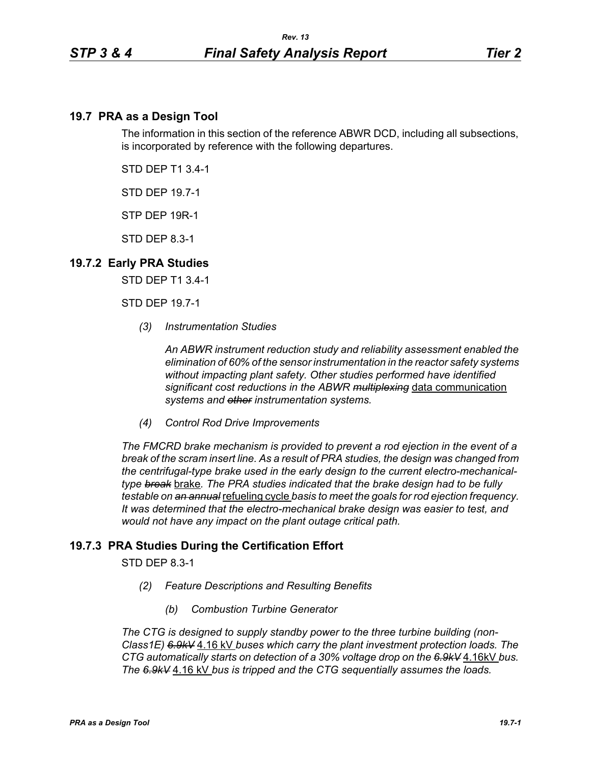## **19.7 PRA as a Design Tool**

The information in this section of the reference ABWR DCD, including all subsections, is incorporated by reference with the following departures.

STD DEP T1 3.4-1

STD DEP 19.7-1

STP DEP 19R-1

STD DEP 8.3-1

## **19.7.2 Early PRA Studies**

STD DEP T1 3.4-1

STD DEP 19.7-1

*(3) Instrumentation Studies*

*An ABWR instrument reduction study and reliability assessment enabled the elimination of 60% of the sensor instrumentation in the reactor safety systems without impacting plant safety. Other studies performed have identified significant cost reductions in the ABWR multiplexing* data communication *systems and other instrumentation systems.*

*(4) Control Rod Drive Improvements* 

*The FMCRD brake mechanism is provided to prevent a rod ejection in the event of a break of the scram insert line. As a result of PRA studies, the design was changed from the centrifugal-type brake used in the early design to the current electro-mechanicaltype break* brake*. The PRA studies indicated that the brake design had to be fully testable on an annual* refueling cycle *basis to meet the goals for rod ejection frequency. It was determined that the electro-mechanical brake design was easier to test, and would not have any impact on the plant outage critical path.*

## **19.7.3 PRA Studies During the Certification Effort**

STD DEP 8.3-1

- *(2) Feature Descriptions and Resulting Benefits* 
	- *(b) Combustion Turbine Generator*

*The CTG is designed to supply standby power to the three turbine building (non-Class1E) 6.9kV* 4.16 kV *buses which carry the plant investment protection loads. The CTG automatically starts on detection of a 30% voltage drop on the 6.9kV* 4.16kV *bus. The 6.9kV* 4.16 kV *bus is tripped and the CTG sequentially assumes the loads.*